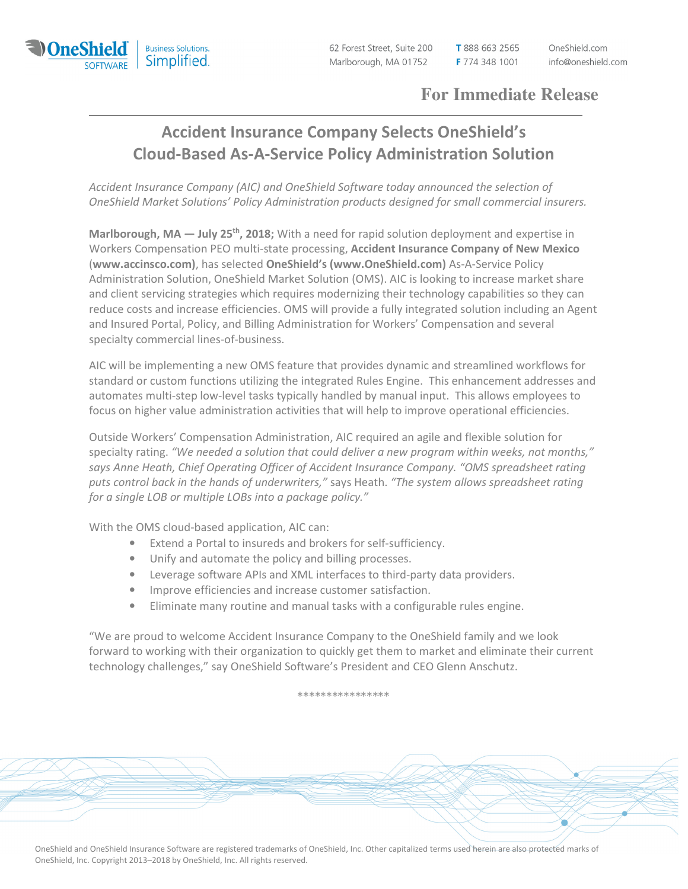

62 Forest Street, Suite 200 Marlborough, MA 01752

T 888 663 2565 F 774 348 1001

## **For Immediate Release**

## Accident Insurance Company Selects OneShield's Cloud-Based As-A-Service Policy Administration Solution

Accident Insurance Company (AIC) and OneShield Software today announced the selection of OneShield Market Solutions' Policy Administration products designed for small commercial insurers.

Marlborough, MA  $-$  July 25<sup>th</sup>, 2018; With a need for rapid solution deployment and expertise in Workers Compensation PEO multi-state processing, Accident Insurance Company of New Mexico (www.accinsco.com), has selected OneShield's (www.OneShield.com) As-A-Service Policy Administration Solution, OneShield Market Solution (OMS). AIC is looking to increase market share and client servicing strategies which requires modernizing their technology capabilities so they can reduce costs and increase efficiencies. OMS will provide a fully integrated solution including an Agent and Insured Portal, Policy, and Billing Administration for Workers' Compensation and several specialty commercial lines-of-business.

AIC will be implementing a new OMS feature that provides dynamic and streamlined workflows for standard or custom functions utilizing the integrated Rules Engine. This enhancement addresses and automates multi-step low-level tasks typically handled by manual input. This allows employees to focus on higher value administration activities that will help to improve operational efficiencies.

Outside Workers' Compensation Administration, AIC required an agile and flexible solution for specialty rating. "We needed a solution that could deliver a new program within weeks, not months," says Anne Heath, Chief Operating Officer of Accident Insurance Company. "OMS spreadsheet rating puts control back in the hands of underwriters," says Heath. "The system allows spreadsheet rating for a single LOB or multiple LOBs into a package policy."

With the OMS cloud-based application, AIC can:

- Extend a Portal to insureds and brokers for self-sufficiency.
- Unify and automate the policy and billing processes.
- Leverage software APIs and XML interfaces to third-party data providers.
- Improve efficiencies and increase customer satisfaction.
- Eliminate many routine and manual tasks with a configurable rules engine.

"We are proud to welcome Accident Insurance Company to the OneShield family and we look forward to working with their organization to quickly get them to market and eliminate their current technology challenges," say OneShield Software's President and CEO Glenn Anschutz.

\*\*\*\*\*\*\*\*\*\*\*\*\*\*\*\*

OneShield and OneShield Insurance Software are registered trademarks of OneShield, Inc. Other capitalized terms used herein are also protected marks of OneShield, Inc. Copyright 2013–2018 by OneShield, Inc. All rights reserved.